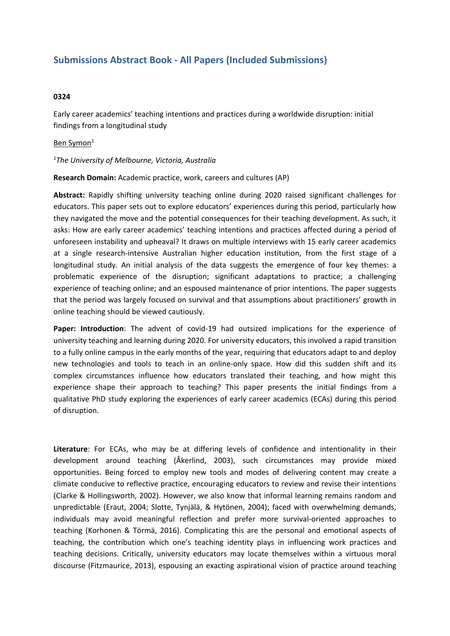# **Submissions Abstract Book - All Papers (Included Submissions)**

### **0324**

Early career academics' teaching intentions and practices during <sup>a</sup> worldwide disruption: initial findings from <sup>a</sup> longitudinal study

#### Ben Symon<sup>1</sup>

#### *1 The University of Melbourne, Victoria, Australia*

**Research Domain:** Academic practice, work, careers and cultures (AP)

**Abstract:** Rapidly shifting university teaching online during 2020 raised significant challenges for educators. This paper sets out to explore educators' experiences during this period, particularly how they navigated the move and the potential consequences for their teaching development. As such, it asks: How are early career academics' teaching intentions and practices affected during <sup>a</sup> period of unforeseen instability and upheaval? It draws on multiple interviews with 15 early career academics at <sup>a</sup> single research-intensive Australian higher education institution, from the first stage of <sup>a</sup> longitudinal study. An initial analysis of the data suggests the emergence of four key themes: <sup>a</sup> problematic experience of the disruption; significant adaptations to practice; <sup>a</sup> challenging experience of teaching online; and an espoused maintenance of prior intentions. The paper suggests that the period was largely focused on survival and that assumptions about practitioners' growth in online teaching should be viewed cautiously.

**Paper: Introduction**: The advent of covid-19 had outsized implications for the experience of university teaching and learning during 2020. For university educators, this involved <sup>a</sup> rapid transition to <sup>a</sup> fully online campus in the early months of the year, requiring that educators adapt to and deploy new technologies and tools to teach in an online-only space. How did this sudden shift and its complex circumstances influence how educators translated their teaching, and how might this experience shape their approach to teaching? This paper presents the initial findings from <sup>a</sup> qualitative PhD study exploring the experiences of early career academics (ECAs) during this period of disruption.

**Literature**: For ECAs, who may be at differing levels of confidence and intentionality in their development around teaching (Åkerlind, 2003), such circumstances may provide mixed opportunities. Being forced to employ new tools and modes of delivering content may create <sup>a</sup> climate conducive to reflective practice, encouraging educators to review and revise their intentions (Clarke & Hollingsworth, 2002). However, we also know that informal learning remains random and unpredictable (Eraut, 2004; Slotte, Tynjälä, & Hytönen, 2004); faced with overwhelming demands, individuals may avoid meaningful reflection and prefer more survival-oriented approaches to teaching (Korhonen & Törmä, 2016). Complicating this are the personal and emotional aspects of teaching, the contribution which one's teaching identity plays in influencing work practices and teaching decisions. Critically, university educators may locate themselves within <sup>a</sup> virtuous moral discourse (Fitzmaurice, 2013), espousing an exacting aspirational vision of practice around teaching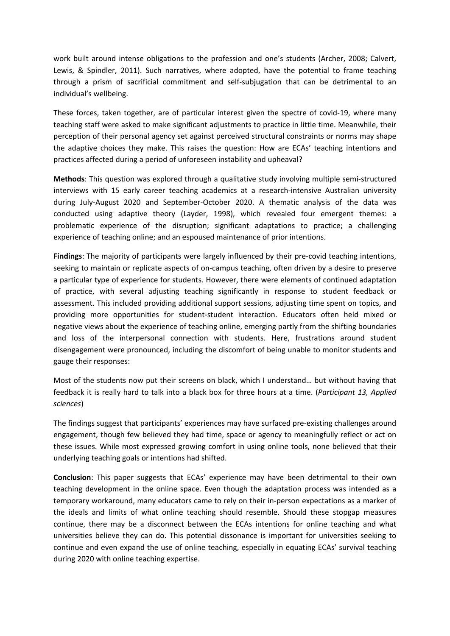work built around intense obligations to the profession and one's students (Archer, 2008; Calvert, Lewis, & Spindler, 2011). Such narratives, where adopted, have the potential to frame teaching through <sup>a</sup> prism of sacrificial commitment and self-subjugation that can be detrimental to an individual's wellbeing.

These forces, taken together, are of particular interest given the spectre of covid-19, where many teaching staff were asked to make significant adjustments to practice in little time. Meanwhile, their perception of their personal agency set against perceived structural constraints or norms may shape the adaptive choices they make. This raises the question: How are ECAs' teaching intentions and practices affected during <sup>a</sup> period of unforeseen instability and upheaval?

**Methods**: This question was explored through <sup>a</sup> qualitative study involving multiple semi-structured interviews with 15 early career teaching academics at <sup>a</sup> research-intensive Australian university during July-August 2020 and September-October 2020. A thematic analysis of the data was conducted using adaptive theory (Layder, 1998), which revealed four emergent themes: <sup>a</sup> problematic experience of the disruption; significant adaptations to practice; <sup>a</sup> challenging experience of teaching online; and an espoused maintenance of prior intentions.

**Findings**: The majority of participants were largely influenced by their pre-covid teaching intentions, seeking to maintain or replicate aspects of on-campus teaching, often driven by <sup>a</sup> desire to preserve <sup>a</sup> particular type of experience for students. However, there were elements of continued adaptation of practice, with several adjusting teaching significantly in response to student feedback or assessment. This included providing additional support sessions, adjusting time spent on topics, and providing more opportunities for student-student interaction. Educators often held mixed or negative views about the experience of teaching online, emerging partly from the shifting boundaries and loss of the interpersonal connection with students. Here, frustrations around student disengagement were pronounced, including the discomfort of being unable to monitor students and gauge their responses:

Most of the students now put their screens on black, which I understand… but without having that feedback it is really hard to talk into <sup>a</sup> black box for three hours at <sup>a</sup> time. (*Participant 13, Applied sciences*)

The findings suggest that participants' experiences may have surfaced pre-existing challenges around engagement, though few believed they had time, space or agency to meaningfully reflect or act on these issues. While most expressed growing comfort in using online tools, none believed that their underlying teaching goals or intentions had shifted.

**Conclusion**: This paper suggests that ECAs' experience may have been detrimental to their own teaching development in the online space. Even though the adaptation process was intended as <sup>a</sup> temporary workaround, many educators came to rely on their in-person expectations as <sup>a</sup> marker of the ideals and limits of what online teaching should resemble. Should these stopgap measures continue, there may be <sup>a</sup> disconnect between the ECAs intentions for online teaching and what universities believe they can do. This potential dissonance is important for universities seeking to continue and even expand the use of online teaching, especially in equating ECAs' survival teaching during 2020 with online teaching expertise.